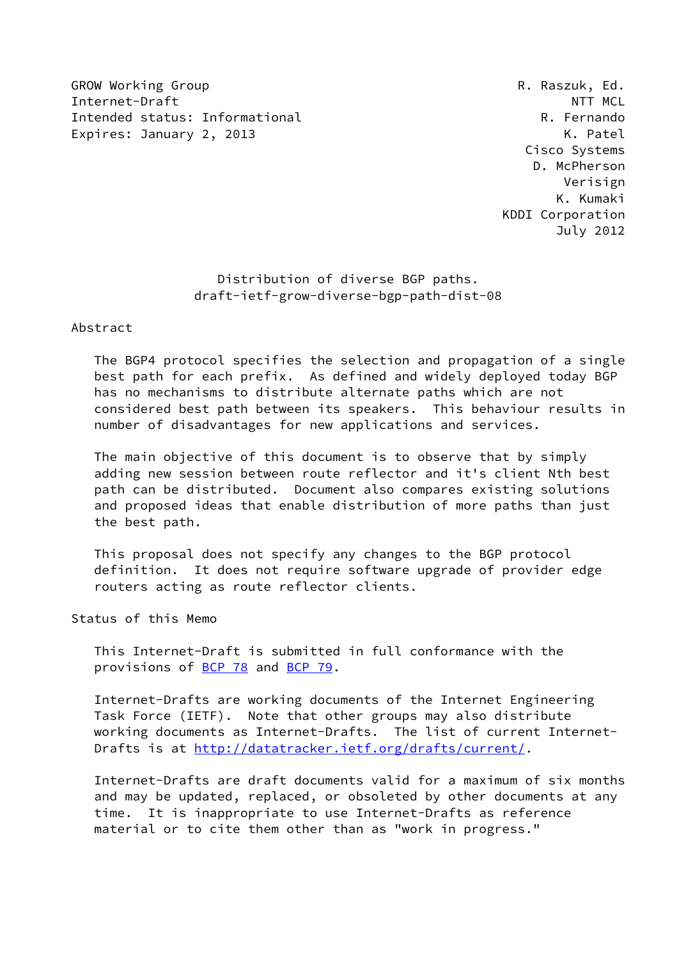GROW Working Group **R. Raszuk, Ed. R. Raszuk, Ed.** Internet-Draft  $\blacksquare$ Intended status: Informational R. Fernando Expires: January 2, 2013 K. Patel

 Cisco Systems D. McPherson Verisign K. Kumaki KDDI Corporation July 2012

> Distribution of diverse BGP paths. draft-ietf-grow-diverse-bgp-path-dist-08

#### Abstract

 The BGP4 protocol specifies the selection and propagation of a single best path for each prefix. As defined and widely deployed today BGP has no mechanisms to distribute alternate paths which are not considered best path between its speakers. This behaviour results in number of disadvantages for new applications and services.

 The main objective of this document is to observe that by simply adding new session between route reflector and it's client Nth best path can be distributed. Document also compares existing solutions and proposed ideas that enable distribution of more paths than just the best path.

 This proposal does not specify any changes to the BGP protocol definition. It does not require software upgrade of provider edge routers acting as route reflector clients.

Status of this Memo

 This Internet-Draft is submitted in full conformance with the provisions of <u>BCP 78</u> and **BCP 79.** 

 Internet-Drafts are working documents of the Internet Engineering Task Force (IETF). Note that other groups may also distribute working documents as Internet-Drafts. The list of current Internet- Drafts is at<http://datatracker.ietf.org/drafts/current/>.

 Internet-Drafts are draft documents valid for a maximum of six months and may be updated, replaced, or obsoleted by other documents at any time. It is inappropriate to use Internet-Drafts as reference material or to cite them other than as "work in progress."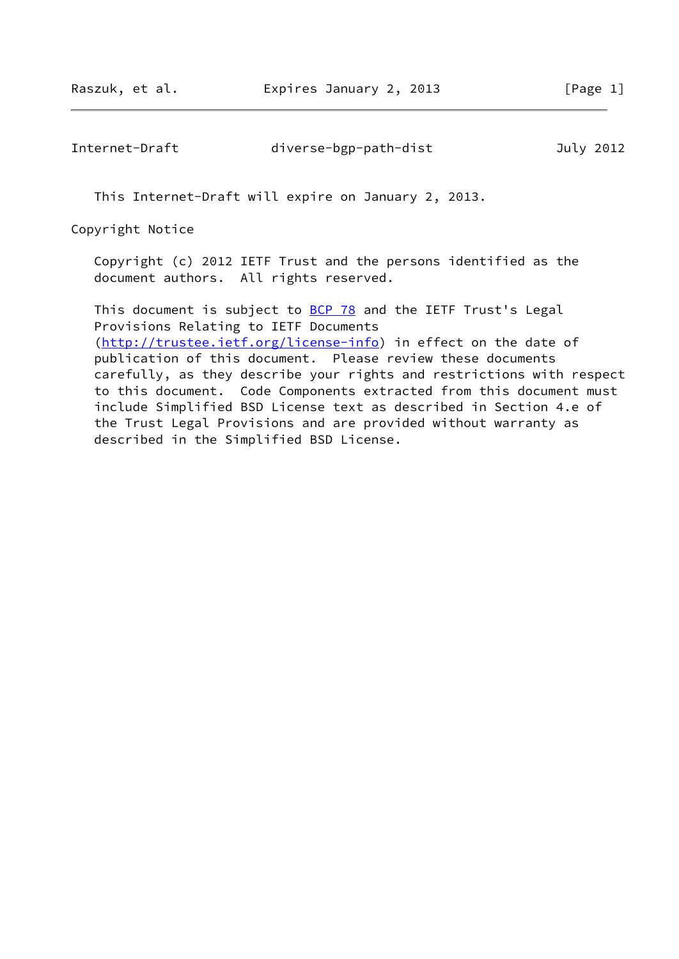Internet-Draft diverse-bgp-path-dist July 2012

This Internet-Draft will expire on January 2, 2013.

Copyright Notice

 Copyright (c) 2012 IETF Trust and the persons identified as the document authors. All rights reserved.

This document is subject to **[BCP 78](https://datatracker.ietf.org/doc/pdf/bcp78)** and the IETF Trust's Legal Provisions Relating to IETF Documents [\(http://trustee.ietf.org/license-info](http://trustee.ietf.org/license-info)) in effect on the date of publication of this document. Please review these documents carefully, as they describe your rights and restrictions with respect to this document. Code Components extracted from this document must include Simplified BSD License text as described in Section 4.e of the Trust Legal Provisions and are provided without warranty as described in the Simplified BSD License.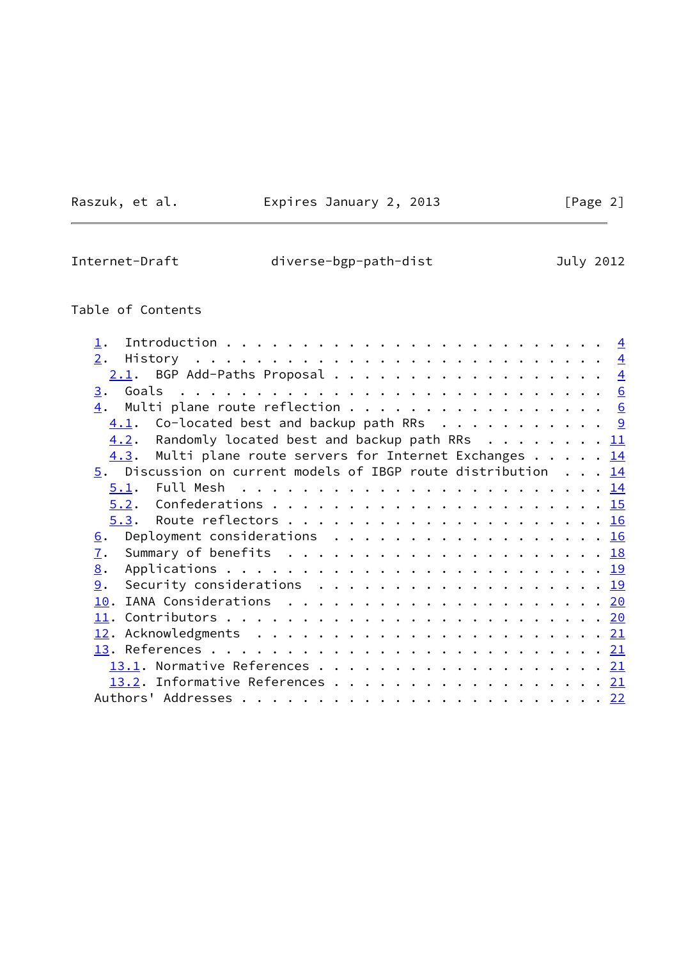Raszuk, et al. **Expires January 2, 2013** [Page 2]

Internet-Draft diverse-bgp-path-dist July 2012

# Table of Contents

| 2.<br>$2.1$ . BGP Add-Paths Proposal 4<br>Multi plane route reflection 6<br>4.<br>$4.1.$ Co-located best and backup path RRs 9<br>4.2. Randomly located best and backup path RRs 11<br>Multi plane route servers for Internet Exchanges 14<br>4.3.<br>5. Discussion on current models of IBGP route distribution 14 |  |  |
|---------------------------------------------------------------------------------------------------------------------------------------------------------------------------------------------------------------------------------------------------------------------------------------------------------------------|--|--|
|                                                                                                                                                                                                                                                                                                                     |  |  |
|                                                                                                                                                                                                                                                                                                                     |  |  |
|                                                                                                                                                                                                                                                                                                                     |  |  |
|                                                                                                                                                                                                                                                                                                                     |  |  |
|                                                                                                                                                                                                                                                                                                                     |  |  |
|                                                                                                                                                                                                                                                                                                                     |  |  |
|                                                                                                                                                                                                                                                                                                                     |  |  |
|                                                                                                                                                                                                                                                                                                                     |  |  |
|                                                                                                                                                                                                                                                                                                                     |  |  |
|                                                                                                                                                                                                                                                                                                                     |  |  |
|                                                                                                                                                                                                                                                                                                                     |  |  |
| Deployment considerations $\ldots \ldots \ldots \ldots \ldots \ldots \underline{16}$<br>6.                                                                                                                                                                                                                          |  |  |
| Summary of benefits $\ldots \ldots \ldots \ldots \ldots \ldots \ldots \ldots \frac{18}{18}$<br>7.                                                                                                                                                                                                                   |  |  |
| 8.                                                                                                                                                                                                                                                                                                                  |  |  |
| Security considerations $\ldots \ldots \ldots \ldots \ldots \ldots \ldots \frac{19}{2}$<br>9.                                                                                                                                                                                                                       |  |  |
|                                                                                                                                                                                                                                                                                                                     |  |  |
|                                                                                                                                                                                                                                                                                                                     |  |  |
|                                                                                                                                                                                                                                                                                                                     |  |  |
|                                                                                                                                                                                                                                                                                                                     |  |  |
|                                                                                                                                                                                                                                                                                                                     |  |  |
| 13.2. Informative References 21                                                                                                                                                                                                                                                                                     |  |  |
|                                                                                                                                                                                                                                                                                                                     |  |  |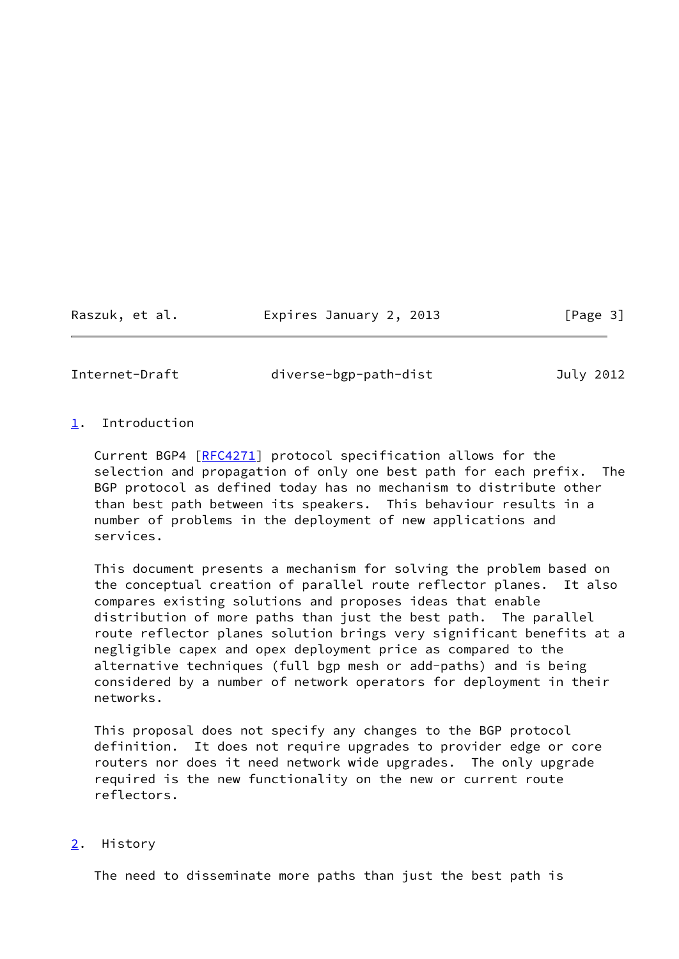Raszuk, et al. Expires January 2, 2013 [Page 3]

<span id="page-3-1"></span>

Internet-Draft diverse-bgp-path-dist July 2012

# <span id="page-3-0"></span>[1](#page-3-0). Introduction

 Current BGP4 [\[RFC4271](https://datatracker.ietf.org/doc/pdf/rfc4271)] protocol specification allows for the selection and propagation of only one best path for each prefix. The BGP protocol as defined today has no mechanism to distribute other than best path between its speakers. This behaviour results in a number of problems in the deployment of new applications and services.

 This document presents a mechanism for solving the problem based on the conceptual creation of parallel route reflector planes. It also compares existing solutions and proposes ideas that enable distribution of more paths than just the best path. The parallel route reflector planes solution brings very significant benefits at a negligible capex and opex deployment price as compared to the alternative techniques (full bgp mesh or add-paths) and is being considered by a number of network operators for deployment in their networks.

 This proposal does not specify any changes to the BGP protocol definition. It does not require upgrades to provider edge or core routers nor does it need network wide upgrades. The only upgrade required is the new functionality on the new or current route reflectors.

## <span id="page-3-2"></span>[2](#page-3-2). History

The need to disseminate more paths than just the best path is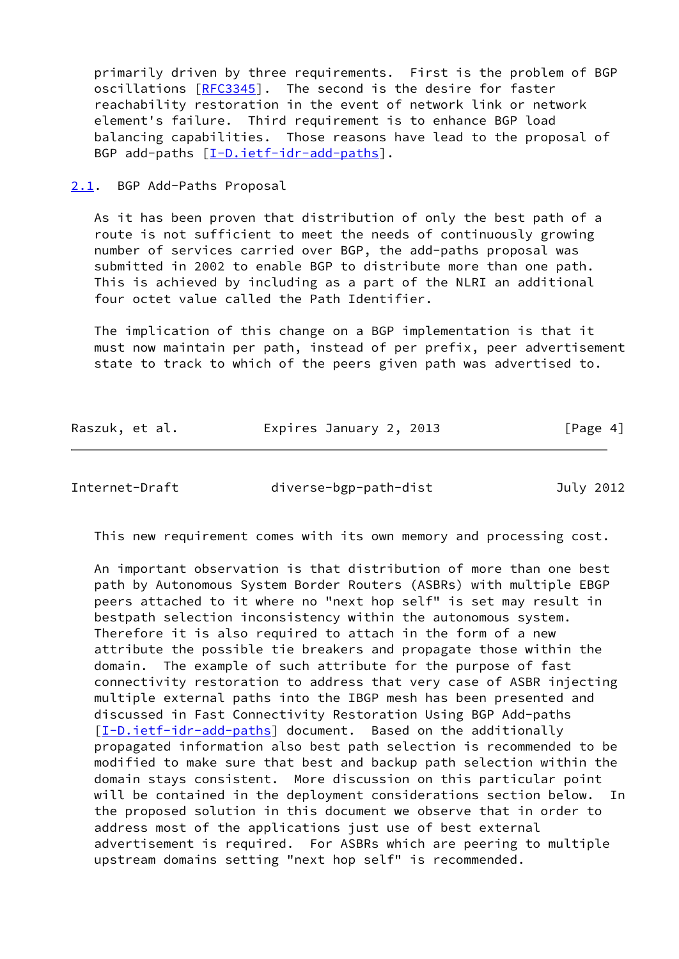primarily driven by three requirements. First is the problem of BGP oscillations [\[RFC3345](https://datatracker.ietf.org/doc/pdf/rfc3345)]. The second is the desire for faster reachability restoration in the event of network link or network element's failure. Third requirement is to enhance BGP load balancing capabilities. Those reasons have lead to the proposal of BGP add-paths [[I-D.ietf-idr-add-paths](#page-23-4)].

<span id="page-4-0"></span>[2.1](#page-4-0). BGP Add-Paths Proposal

 As it has been proven that distribution of only the best path of a route is not sufficient to meet the needs of continuously growing number of services carried over BGP, the add-paths proposal was submitted in 2002 to enable BGP to distribute more than one path. This is achieved by including as a part of the NLRI an additional four octet value called the Path Identifier.

 The implication of this change on a BGP implementation is that it must now maintain per path, instead of per prefix, peer advertisement state to track to which of the peers given path was advertised to.

| Raszuk, et al. | Expires January 2, 2013 | [Page 4] |
|----------------|-------------------------|----------|
|                |                         |          |

Internet-Draft diverse-bgp-path-dist July 2012

This new requirement comes with its own memory and processing cost.

 An important observation is that distribution of more than one best path by Autonomous System Border Routers (ASBRs) with multiple EBGP peers attached to it where no "next hop self" is set may result in bestpath selection inconsistency within the autonomous system. Therefore it is also required to attach in the form of a new attribute the possible tie breakers and propagate those within the domain. The example of such attribute for the purpose of fast connectivity restoration to address that very case of ASBR injecting multiple external paths into the IBGP mesh has been presented and discussed in Fast Connectivity Restoration Using BGP Add-paths [\[I-D.ietf-idr-add-paths](#page-23-4)] document. Based on the additionally propagated information also best path selection is recommended to be modified to make sure that best and backup path selection within the domain stays consistent. More discussion on this particular point will be contained in the deployment considerations section below. In the proposed solution in this document we observe that in order to address most of the applications just use of best external advertisement is required. For ASBRs which are peering to multiple upstream domains setting "next hop self" is recommended.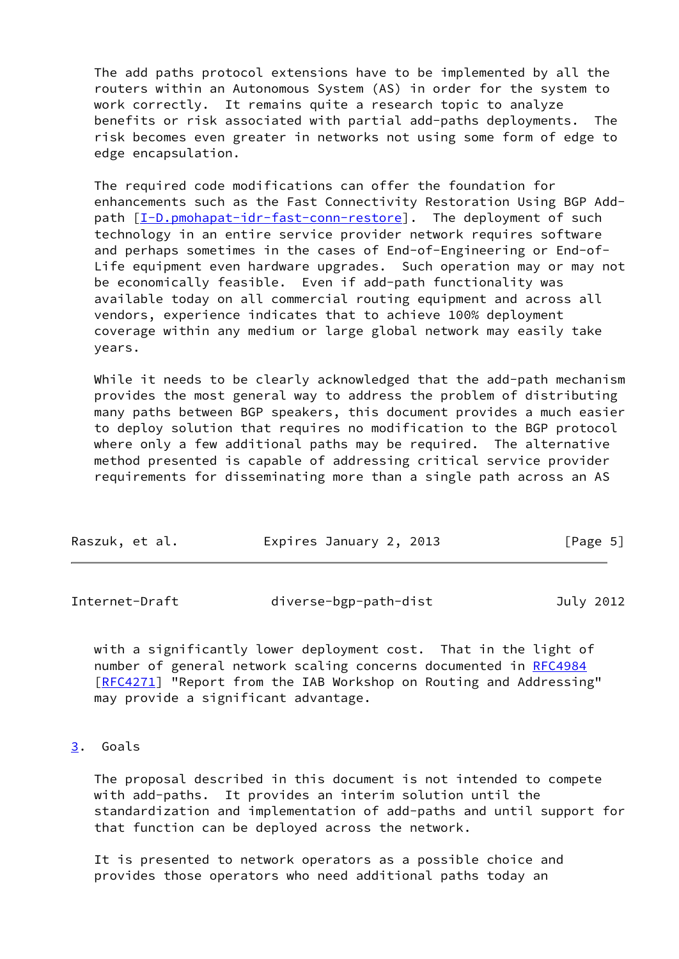The add paths protocol extensions have to be implemented by all the routers within an Autonomous System (AS) in order for the system to work correctly. It remains quite a research topic to analyze benefits or risk associated with partial add-paths deployments. The risk becomes even greater in networks not using some form of edge to edge encapsulation.

 The required code modifications can offer the foundation for enhancements such as the Fast Connectivity Restoration Using BGP Add path  $[I-D.pmohapat-idr-fast-conn-restore]$ . The deployment of such technology in an entire service provider network requires software and perhaps sometimes in the cases of End-of-Engineering or End-of- Life equipment even hardware upgrades. Such operation may or may not be economically feasible. Even if add-path functionality was available today on all commercial routing equipment and across all vendors, experience indicates that to achieve 100% deployment coverage within any medium or large global network may easily take years.

 While it needs to be clearly acknowledged that the add-path mechanism provides the most general way to address the problem of distributing many paths between BGP speakers, this document provides a much easier to deploy solution that requires no modification to the BGP protocol where only a few additional paths may be required. The alternative method presented is capable of addressing critical service provider requirements for disseminating more than a single path across an AS

| Expires January 2, 2013<br>Raszuk, et al. | [Page 5] |
|-------------------------------------------|----------|
|-------------------------------------------|----------|

<span id="page-5-1"></span>

| Internet-Draft | diverse-bgp-path-dist | July 2012 |
|----------------|-----------------------|-----------|
|                |                       |           |

 with a significantly lower deployment cost. That in the light of number of general network scaling concerns documented in [RFC4984](https://datatracker.ietf.org/doc/pdf/rfc4984) [\[RFC4271](https://datatracker.ietf.org/doc/pdf/rfc4271)] "Report from the IAB Workshop on Routing and Addressing" may provide a significant advantage.

# <span id="page-5-0"></span>[3](#page-5-0). Goals

 The proposal described in this document is not intended to compete with add-paths. It provides an interim solution until the standardization and implementation of add-paths and until support for that function can be deployed across the network.

 It is presented to network operators as a possible choice and provides those operators who need additional paths today an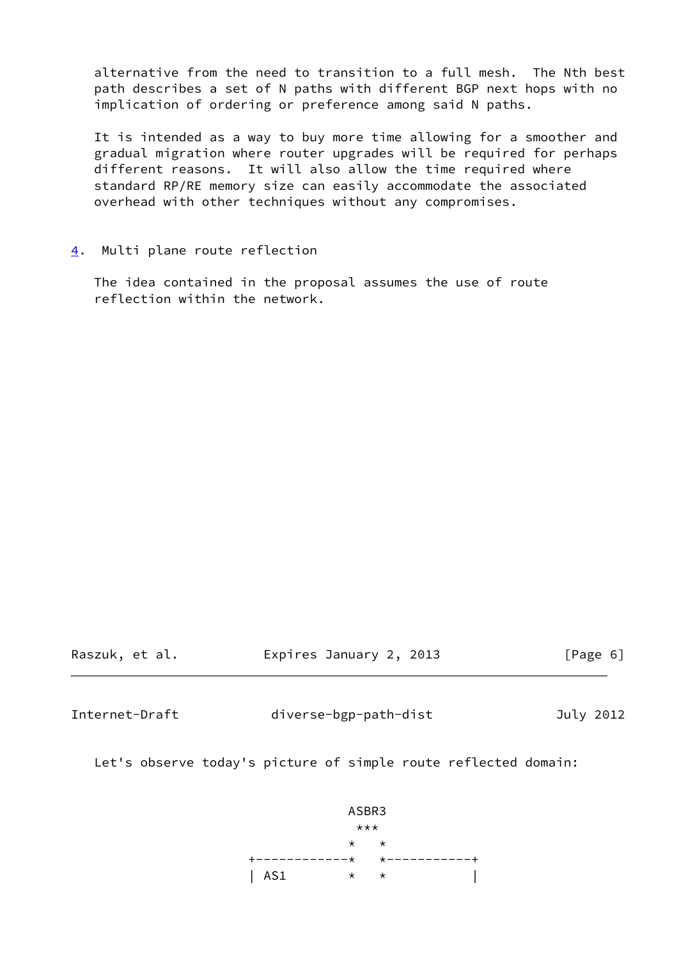alternative from the need to transition to a full mesh. The Nth best path describes a set of N paths with different BGP next hops with no implication of ordering or preference among said N paths.

 It is intended as a way to buy more time allowing for a smoother and gradual migration where router upgrades will be required for perhaps different reasons. It will also allow the time required where standard RP/RE memory size can easily accommodate the associated overhead with other techniques without any compromises.

<span id="page-6-0"></span>[4](#page-6-0). Multi plane route reflection

 The idea contained in the proposal assumes the use of route reflection within the network.

| Raszuk, et al. | Expires January 2, 2013 | [Page 6] |
|----------------|-------------------------|----------|
|                |                         |          |

Internet-Draft diverse-bgp-path-dist July 2012

Let's observe today's picture of simple route reflected domain:

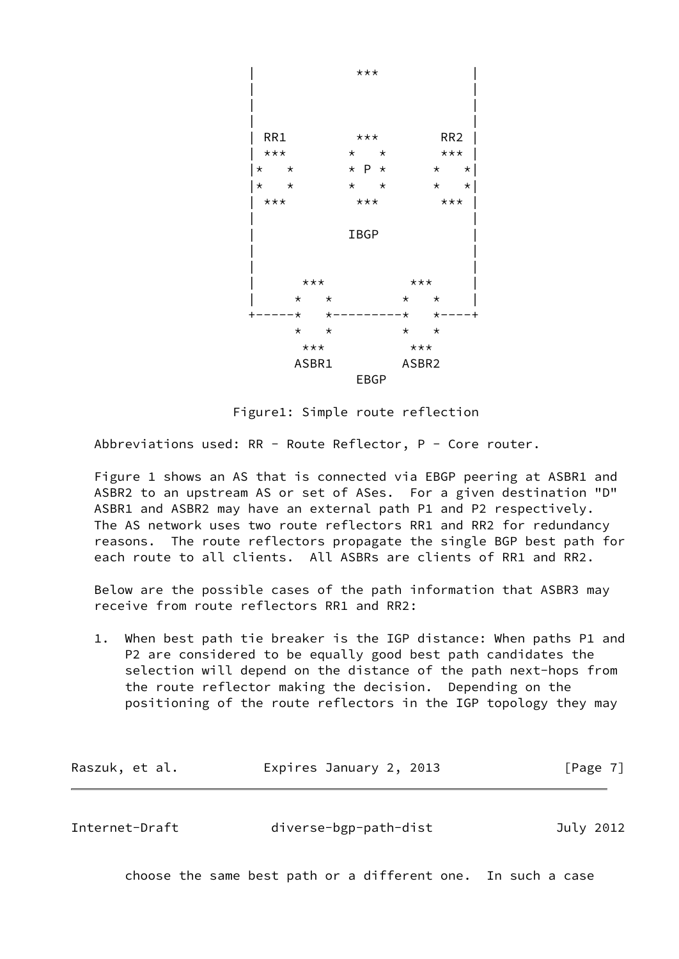

Figure1: Simple route reflection

Abbreviations used: RR - Route Reflector, P - Core router.

 Figure 1 shows an AS that is connected via EBGP peering at ASBR1 and ASBR2 to an upstream AS or set of ASes. For a given destination "D" ASBR1 and ASBR2 may have an external path P1 and P2 respectively. The AS network uses two route reflectors RR1 and RR2 for redundancy reasons. The route reflectors propagate the single BGP best path for each route to all clients. All ASBRs are clients of RR1 and RR2.

 Below are the possible cases of the path information that ASBR3 may receive from route reflectors RR1 and RR2:

 1. When best path tie breaker is the IGP distance: When paths P1 and P2 are considered to be equally good best path candidates the selection will depend on the distance of the path next-hops from the route reflector making the decision. Depending on the positioning of the route reflectors in the IGP topology they may

| Raszuk, et al. | Expires January 2, 2013 | [Page 7] |
|----------------|-------------------------|----------|
|----------------|-------------------------|----------|

Internet-Draft diverse-bgp-path-dist July 2012

choose the same best path or a different one. In such a case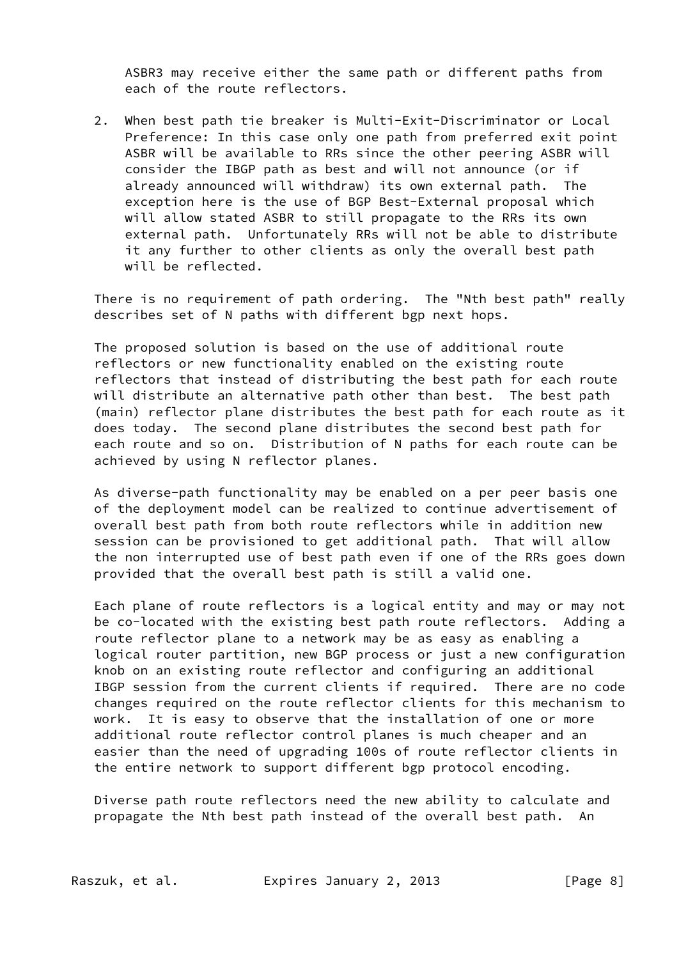ASBR3 may receive either the same path or different paths from each of the route reflectors.

 2. When best path tie breaker is Multi-Exit-Discriminator or Local Preference: In this case only one path from preferred exit point ASBR will be available to RRs since the other peering ASBR will consider the IBGP path as best and will not announce (or if already announced will withdraw) its own external path. The exception here is the use of BGP Best-External proposal which will allow stated ASBR to still propagate to the RRs its own external path. Unfortunately RRs will not be able to distribute it any further to other clients as only the overall best path will be reflected.

 There is no requirement of path ordering. The "Nth best path" really describes set of N paths with different bgp next hops.

 The proposed solution is based on the use of additional route reflectors or new functionality enabled on the existing route reflectors that instead of distributing the best path for each route will distribute an alternative path other than best. The best path (main) reflector plane distributes the best path for each route as it does today. The second plane distributes the second best path for each route and so on. Distribution of N paths for each route can be achieved by using N reflector planes.

 As diverse-path functionality may be enabled on a per peer basis one of the deployment model can be realized to continue advertisement of overall best path from both route reflectors while in addition new session can be provisioned to get additional path. That will allow the non interrupted use of best path even if one of the RRs goes down provided that the overall best path is still a valid one.

 Each plane of route reflectors is a logical entity and may or may not be co-located with the existing best path route reflectors. Adding a route reflector plane to a network may be as easy as enabling a logical router partition, new BGP process or just a new configuration knob on an existing route reflector and configuring an additional IBGP session from the current clients if required. There are no code changes required on the route reflector clients for this mechanism to work. It is easy to observe that the installation of one or more additional route reflector control planes is much cheaper and an easier than the need of upgrading 100s of route reflector clients in the entire network to support different bgp protocol encoding.

 Diverse path route reflectors need the new ability to calculate and propagate the Nth best path instead of the overall best path. An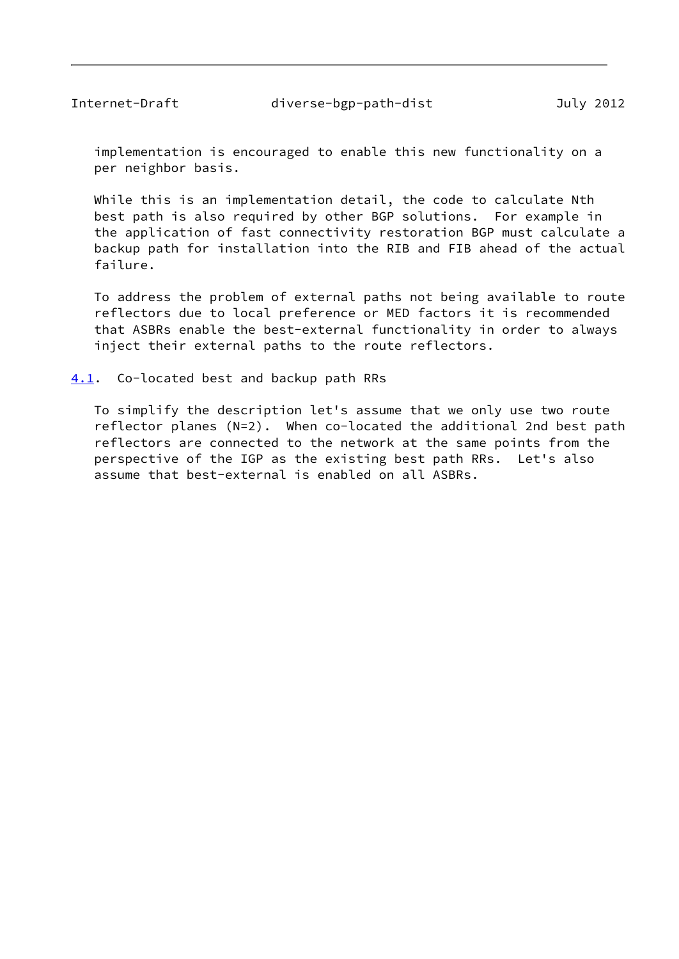<span id="page-9-1"></span> implementation is encouraged to enable this new functionality on a per neighbor basis.

 While this is an implementation detail, the code to calculate Nth best path is also required by other BGP solutions. For example in the application of fast connectivity restoration BGP must calculate a backup path for installation into the RIB and FIB ahead of the actual failure.

 To address the problem of external paths not being available to route reflectors due to local preference or MED factors it is recommended that ASBRs enable the best-external functionality in order to always inject their external paths to the route reflectors.

#### <span id="page-9-0"></span>[4.1](#page-9-0). Co-located best and backup path RRs

 To simplify the description let's assume that we only use two route reflector planes (N=2). When co-located the additional 2nd best path reflectors are connected to the network at the same points from the perspective of the IGP as the existing best path RRs. Let's also assume that best-external is enabled on all ASBRs.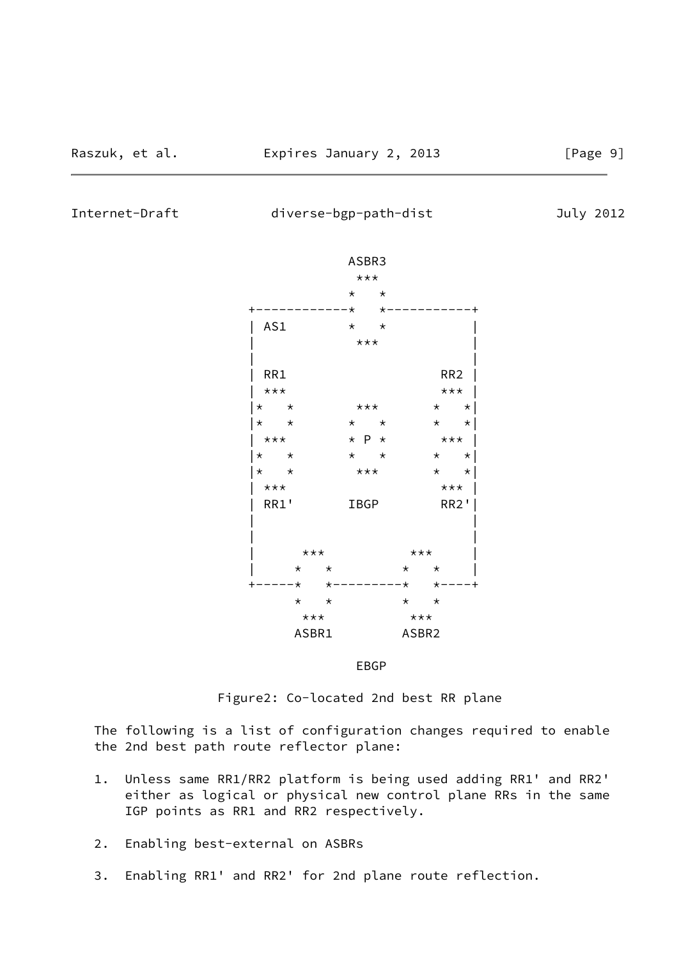Internet-Draft diverse-bgp-path-dist July 2012





Figure2: Co-located 2nd best RR plane

 The following is a list of configuration changes required to enable the 2nd best path route reflector plane:

- 1. Unless same RR1/RR2 platform is being used adding RR1' and RR2' either as logical or physical new control plane RRs in the same IGP points as RR1 and RR2 respectively.
- 2. Enabling best-external on ASBRs
- 3. Enabling RR1' and RR2' for 2nd plane route reflection.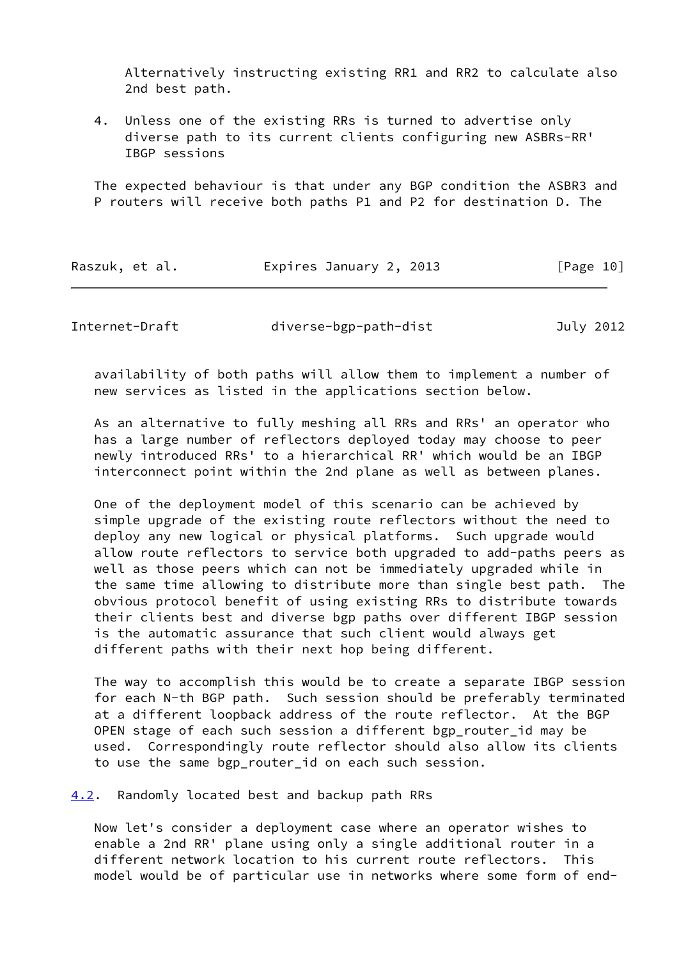Alternatively instructing existing RR1 and RR2 to calculate also 2nd best path.

 4. Unless one of the existing RRs is turned to advertise only diverse path to its current clients configuring new ASBRs-RR' IBGP sessions

 The expected behaviour is that under any BGP condition the ASBR3 and P routers will receive both paths P1 and P2 for destination D. The

| Raszuk, et al. | Expires January 2, 2013 | [Page 10] |
|----------------|-------------------------|-----------|
|----------------|-------------------------|-----------|

<span id="page-11-1"></span>Internet-Draft diverse-bgp-path-dist July 2012

 availability of both paths will allow them to implement a number of new services as listed in the applications section below.

 As an alternative to fully meshing all RRs and RRs' an operator who has a large number of reflectors deployed today may choose to peer newly introduced RRs' to a hierarchical RR' which would be an IBGP interconnect point within the 2nd plane as well as between planes.

 One of the deployment model of this scenario can be achieved by simple upgrade of the existing route reflectors without the need to deploy any new logical or physical platforms. Such upgrade would allow route reflectors to service both upgraded to add-paths peers as well as those peers which can not be immediately upgraded while in the same time allowing to distribute more than single best path. The obvious protocol benefit of using existing RRs to distribute towards their clients best and diverse bgp paths over different IBGP session is the automatic assurance that such client would always get different paths with their next hop being different.

 The way to accomplish this would be to create a separate IBGP session for each N-th BGP path. Such session should be preferably terminated at a different loopback address of the route reflector. At the BGP OPEN stage of each such session a different bgp\_router\_id may be used. Correspondingly route reflector should also allow its clients to use the same bgp\_router\_id on each such session.

<span id="page-11-0"></span>[4.2](#page-11-0). Randomly located best and backup path RRs

 Now let's consider a deployment case where an operator wishes to enable a 2nd RR' plane using only a single additional router in a different network location to his current route reflectors. This model would be of particular use in networks where some form of end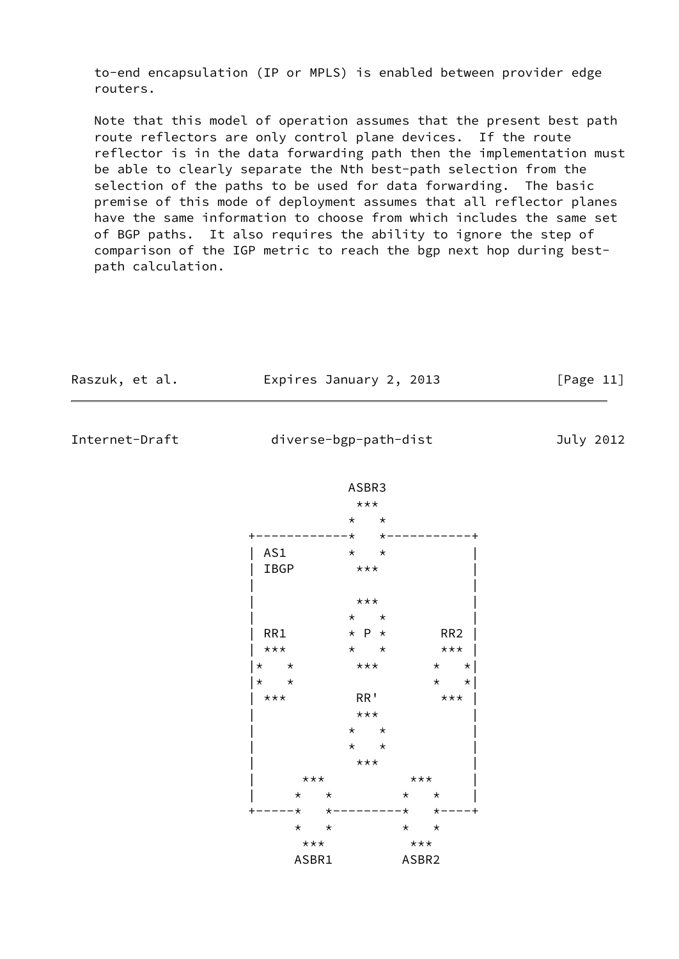to-end encapsulation (IP or MPLS) is enabled between provider edge routers.

 Note that this model of operation assumes that the present best path route reflectors are only control plane devices. If the route reflector is in the data forwarding path then the implementation must be able to clearly separate the Nth best-path selection from the selection of the paths to be used for data forwarding. The basic premise of this mode of deployment assumes that all reflector planes have the same information to choose from which includes the same set of BGP paths. It also requires the ability to ignore the step of comparison of the IGP metric to reach the bgp next hop during best path calculation.

| Raszuk, et al. |                    | Expires January 2, 2013                 |                    | [Page 11] |
|----------------|--------------------|-----------------------------------------|--------------------|-----------|
| Internet-Draft |                    | diverse-bgp-path-dist                   |                    | July 2012 |
|                |                    | ASBR3<br>$***$                          |                    |           |
|                |                    | $\star$<br>$\star$<br>– ★<br>$^\star$   |                    |           |
|                | AS1<br>IBGP        | $\star$ $\star$<br>$***$                |                    |           |
|                |                    | $***$                                   |                    |           |
|                |                    | $\star$ $\star$                         |                    |           |
|                | RR1                | $\star$ P $\star$                       | RR <sub>2</sub>    |           |
|                | $***$              | $\star$ $\star$ $\star$ $\star$ $\star$ |                    |           |
|                | $\star$<br>$\star$ | $\star\star\star$                       | $\star$ $\star$    |           |
|                | $\star$<br>$\star$ |                                         | $\star$<br>$\star$ |           |
|                | $***$              | RR '                                    | $***$              |           |
|                |                    | $***$                                   |                    |           |
|                |                    | $\star$ $\star$                         |                    |           |
|                |                    | $\star$ $\star$                         |                    |           |
|                |                    | $***$                                   |                    |           |
|                | $***$              |                                         | $***$              |           |
|                | $\star$            | $\star$                                 | $\star$<br>$\star$ |           |

ASBR1 ASBR2

 \* \* \* \*  $\star\star\star$   $\star\star\star$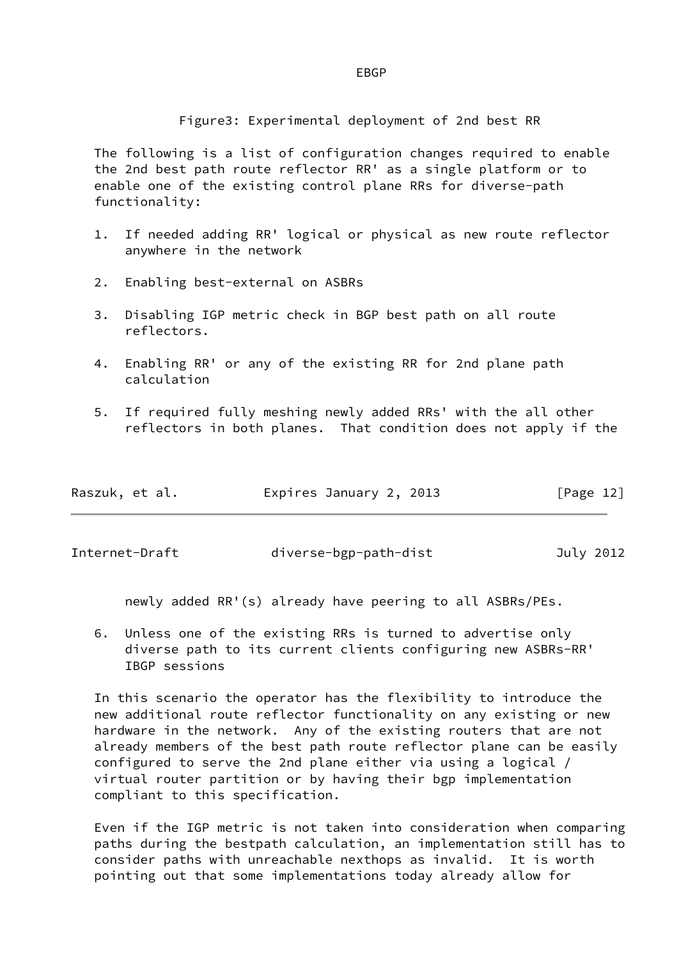## en de la construction de la construction de la construction de la construction de la construction de la constr

Figure3: Experimental deployment of 2nd best RR

 The following is a list of configuration changes required to enable the 2nd best path route reflector RR' as a single platform or to enable one of the existing control plane RRs for diverse-path functionality:

- 1. If needed adding RR' logical or physical as new route reflector anywhere in the network
- 2. Enabling best-external on ASBRs
- 3. Disabling IGP metric check in BGP best path on all route reflectors.
- 4. Enabling RR' or any of the existing RR for 2nd plane path calculation
- 5. If required fully meshing newly added RRs' with the all other reflectors in both planes. That condition does not apply if the

| Raszuk, et al. | Expires January 2, 2013 | [Page 12] |
|----------------|-------------------------|-----------|
|                |                         |           |

Internet-Draft diverse-bgp-path-dist July 2012

newly added RR'(s) already have peering to all ASBRs/PEs.

 6. Unless one of the existing RRs is turned to advertise only diverse path to its current clients configuring new ASBRs-RR' IBGP sessions

 In this scenario the operator has the flexibility to introduce the new additional route reflector functionality on any existing or new hardware in the network. Any of the existing routers that are not already members of the best path route reflector plane can be easily configured to serve the 2nd plane either via using a logical / virtual router partition or by having their bgp implementation compliant to this specification.

 Even if the IGP metric is not taken into consideration when comparing paths during the bestpath calculation, an implementation still has to consider paths with unreachable nexthops as invalid. It is worth pointing out that some implementations today already allow for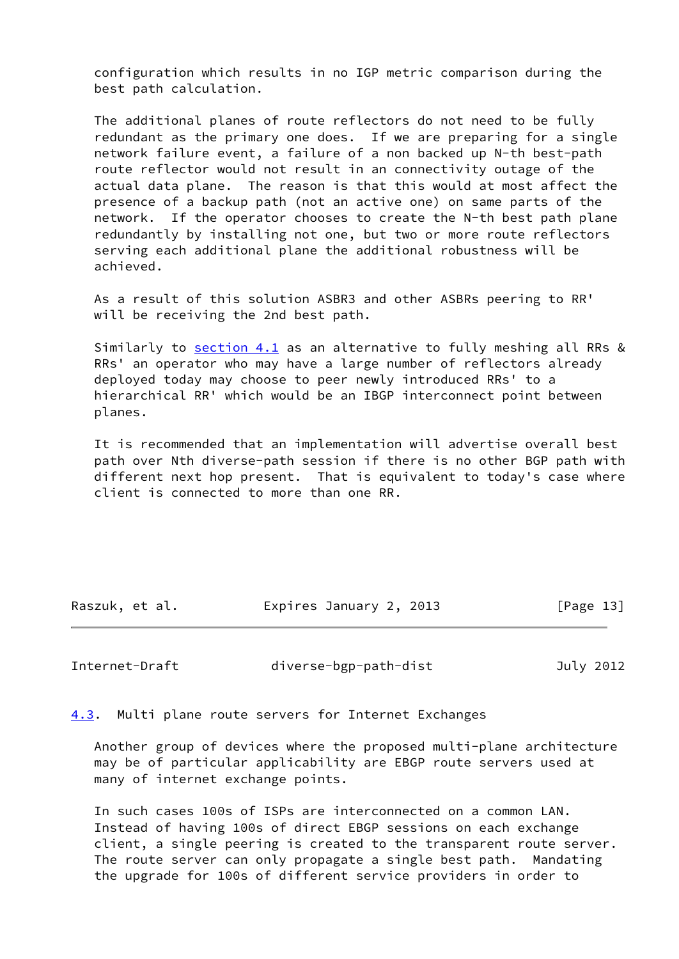configuration which results in no IGP metric comparison during the best path calculation.

 The additional planes of route reflectors do not need to be fully redundant as the primary one does. If we are preparing for a single network failure event, a failure of a non backed up N-th best-path route reflector would not result in an connectivity outage of the actual data plane. The reason is that this would at most affect the presence of a backup path (not an active one) on same parts of the network. If the operator chooses to create the N-th best path plane redundantly by installing not one, but two or more route reflectors serving each additional plane the additional robustness will be achieved.

 As a result of this solution ASBR3 and other ASBRs peering to RR' will be receiving the 2nd best path.

 Similarly to [section 4.1](#page-9-0) as an alternative to fully meshing all RRs & RRs' an operator who may have a large number of reflectors already deployed today may choose to peer newly introduced RRs' to a hierarchical RR' which would be an IBGP interconnect point between planes.

 It is recommended that an implementation will advertise overall best path over Nth diverse-path session if there is no other BGP path with different next hop present. That is equivalent to today's case where client is connected to more than one RR.

| Raszuk, et al. | Expires January 2, 2013 | [Page 13] |
|----------------|-------------------------|-----------|
|                |                         |           |

<span id="page-14-1"></span>Internet-Draft diverse-bgp-path-dist July 2012

<span id="page-14-0"></span>[4.3](#page-14-0). Multi plane route servers for Internet Exchanges

 Another group of devices where the proposed multi-plane architecture may be of particular applicability are EBGP route servers used at many of internet exchange points.

 In such cases 100s of ISPs are interconnected on a common LAN. Instead of having 100s of direct EBGP sessions on each exchange client, a single peering is created to the transparent route server. The route server can only propagate a single best path. Mandating the upgrade for 100s of different service providers in order to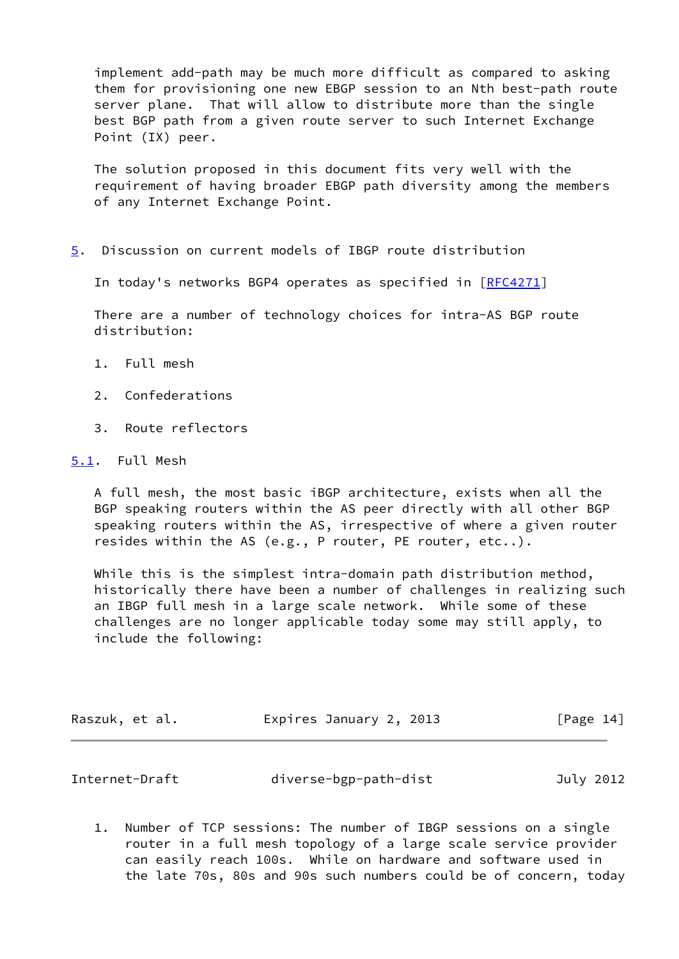implement add-path may be much more difficult as compared to asking them for provisioning one new EBGP session to an Nth best-path route server plane. That will allow to distribute more than the single best BGP path from a given route server to such Internet Exchange Point (IX) peer.

 The solution proposed in this document fits very well with the requirement of having broader EBGP path diversity among the members of any Internet Exchange Point.

<span id="page-15-0"></span>[5](#page-15-0). Discussion on current models of IBGP route distribution

In today's networks BGP4 operates as specified in [[RFC4271](https://datatracker.ietf.org/doc/pdf/rfc4271)]

 There are a number of technology choices for intra-AS BGP route distribution:

- 1. Full mesh
- 2. Confederations
- 3. Route reflectors

#### <span id="page-15-1"></span>[5.1](#page-15-1). Full Mesh

 A full mesh, the most basic iBGP architecture, exists when all the BGP speaking routers within the AS peer directly with all other BGP speaking routers within the AS, irrespective of where a given router resides within the AS (e.g., P router, PE router, etc..).

 While this is the simplest intra-domain path distribution method, historically there have been a number of challenges in realizing such an IBGP full mesh in a large scale network. While some of these challenges are no longer applicable today some may still apply, to include the following:

| Raszuk, et al. | Expires January 2, 2013 | [Page 14] |
|----------------|-------------------------|-----------|
|                |                         |           |

<span id="page-15-2"></span>

|  | Internet-Draft | diverse-bgp-path-dist | July 2012 |
|--|----------------|-----------------------|-----------|
|--|----------------|-----------------------|-----------|

 1. Number of TCP sessions: The number of IBGP sessions on a single router in a full mesh topology of a large scale service provider can easily reach 100s. While on hardware and software used in the late 70s, 80s and 90s such numbers could be of concern, today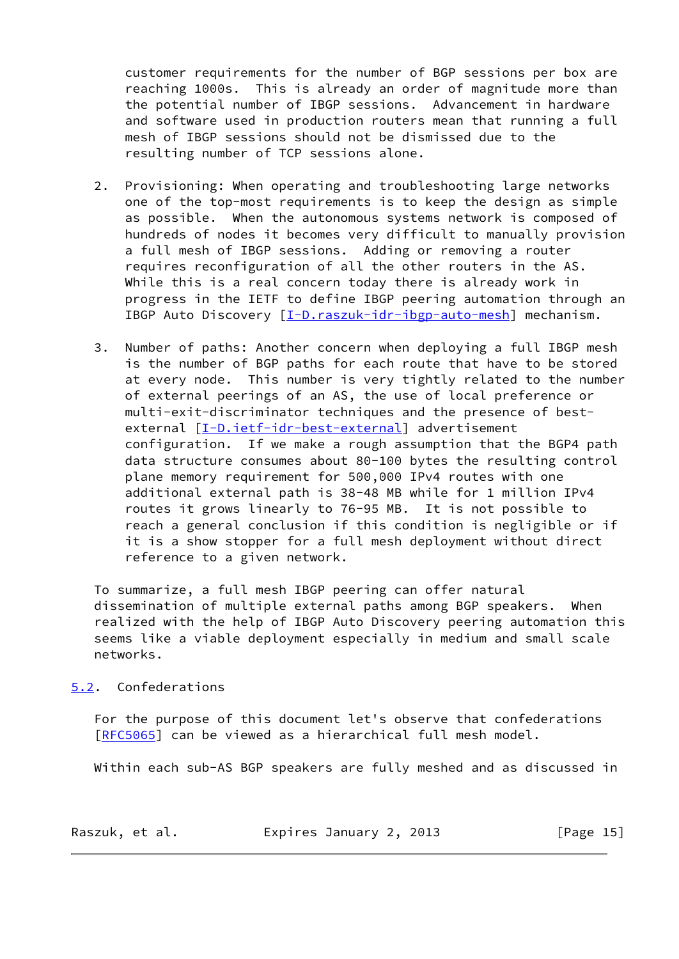customer requirements for the number of BGP sessions per box are reaching 1000s. This is already an order of magnitude more than the potential number of IBGP sessions. Advancement in hardware and software used in production routers mean that running a full mesh of IBGP sessions should not be dismissed due to the resulting number of TCP sessions alone.

- 2. Provisioning: When operating and troubleshooting large networks one of the top-most requirements is to keep the design as simple as possible. When the autonomous systems network is composed of hundreds of nodes it becomes very difficult to manually provision a full mesh of IBGP sessions. Adding or removing a router requires reconfiguration of all the other routers in the AS. While this is a real concern today there is already work in progress in the IETF to define IBGP peering automation through an IBGP Auto Discovery [\[I-D.raszuk-idr-ibgp-auto-mesh](#page-24-0)] mechanism.
- 3. Number of paths: Another concern when deploying a full IBGP mesh is the number of BGP paths for each route that have to be stored at every node. This number is very tightly related to the number of external peerings of an AS, the use of local preference or multi-exit-discriminator techniques and the presence of best- external [\[I-D.ietf-idr-best-external\]](#page-23-6) advertisement configuration. If we make a rough assumption that the BGP4 path data structure consumes about 80-100 bytes the resulting control plane memory requirement for 500,000 IPv4 routes with one additional external path is 38-48 MB while for 1 million IPv4 routes it grows linearly to 76-95 MB. It is not possible to reach a general conclusion if this condition is negligible or if it is a show stopper for a full mesh deployment without direct reference to a given network.

 To summarize, a full mesh IBGP peering can offer natural dissemination of multiple external paths among BGP speakers. When realized with the help of IBGP Auto Discovery peering automation this seems like a viable deployment especially in medium and small scale networks.

## <span id="page-16-0"></span>[5.2](#page-16-0). Confederations

 For the purpose of this document let's observe that confederations [\[RFC5065](https://datatracker.ietf.org/doc/pdf/rfc5065)] can be viewed as a hierarchical full mesh model.

Within each sub-AS BGP speakers are fully meshed and as discussed in

| Raszuk, et al. | Expires January 2, 2013 | [Page $15$ ] |
|----------------|-------------------------|--------------|
|----------------|-------------------------|--------------|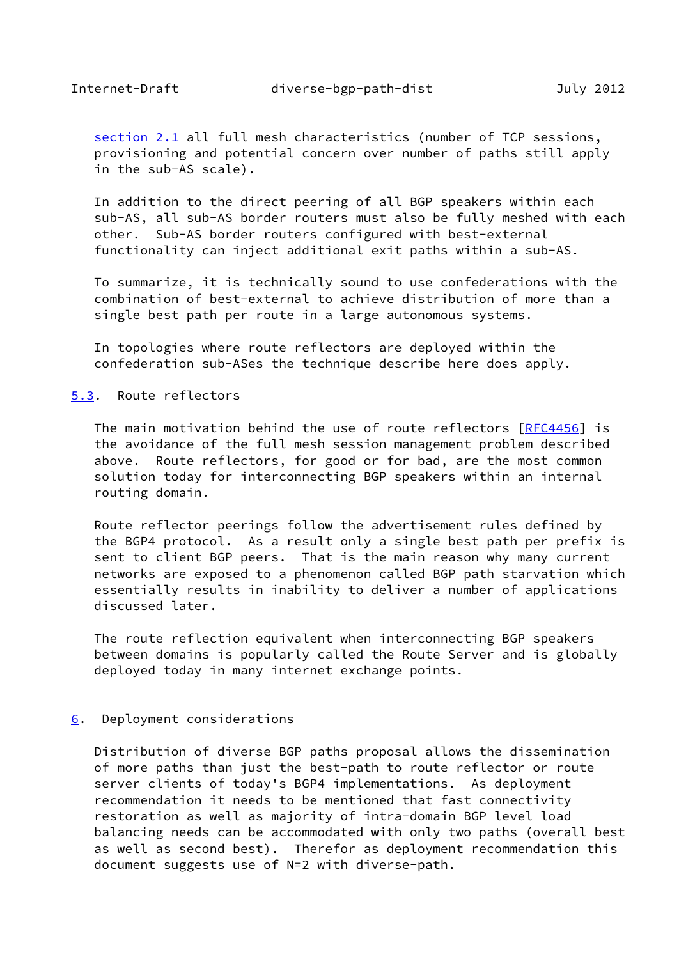<span id="page-17-1"></span>[section 2.1](#page-4-0) all full mesh characteristics (number of TCP sessions, provisioning and potential concern over number of paths still apply in the sub-AS scale).

 In addition to the direct peering of all BGP speakers within each sub-AS, all sub-AS border routers must also be fully meshed with each other. Sub-AS border routers configured with best-external functionality can inject additional exit paths within a sub-AS.

 To summarize, it is technically sound to use confederations with the combination of best-external to achieve distribution of more than a single best path per route in a large autonomous systems.

 In topologies where route reflectors are deployed within the confederation sub-ASes the technique describe here does apply.

## <span id="page-17-0"></span>[5.3](#page-17-0). Route reflectors

 The main motivation behind the use of route reflectors [\[RFC4456](https://datatracker.ietf.org/doc/pdf/rfc4456)] is the avoidance of the full mesh session management problem described above. Route reflectors, for good or for bad, are the most common solution today for interconnecting BGP speakers within an internal routing domain.

 Route reflector peerings follow the advertisement rules defined by the BGP4 protocol. As a result only a single best path per prefix is sent to client BGP peers. That is the main reason why many current networks are exposed to a phenomenon called BGP path starvation which essentially results in inability to deliver a number of applications discussed later.

 The route reflection equivalent when interconnecting BGP speakers between domains is popularly called the Route Server and is globally deployed today in many internet exchange points.

#### <span id="page-17-2"></span>[6](#page-17-2). Deployment considerations

 Distribution of diverse BGP paths proposal allows the dissemination of more paths than just the best-path to route reflector or route server clients of today's BGP4 implementations. As deployment recommendation it needs to be mentioned that fast connectivity restoration as well as majority of intra-domain BGP level load balancing needs can be accommodated with only two paths (overall best as well as second best). Therefor as deployment recommendation this document suggests use of N=2 with diverse-path.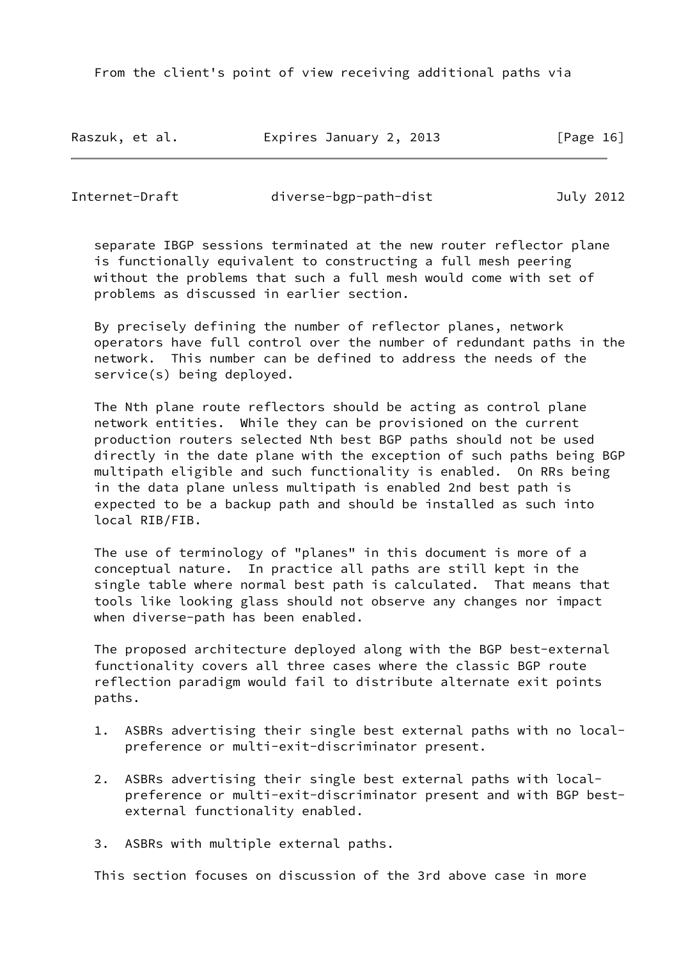From the client's point of view receiving additional paths via

Raszuk, et al. Expires January 2, 2013 [Page 16]

Internet-Draft diverse-bgp-path-dist July 2012

 separate IBGP sessions terminated at the new router reflector plane is functionally equivalent to constructing a full mesh peering without the problems that such a full mesh would come with set of problems as discussed in earlier section.

 By precisely defining the number of reflector planes, network operators have full control over the number of redundant paths in the network. This number can be defined to address the needs of the service(s) being deployed.

 The Nth plane route reflectors should be acting as control plane network entities. While they can be provisioned on the current production routers selected Nth best BGP paths should not be used directly in the date plane with the exception of such paths being BGP multipath eligible and such functionality is enabled. On RRs being in the data plane unless multipath is enabled 2nd best path is expected to be a backup path and should be installed as such into local RIB/FIB.

 The use of terminology of "planes" in this document is more of a conceptual nature. In practice all paths are still kept in the single table where normal best path is calculated. That means that tools like looking glass should not observe any changes nor impact when diverse-path has been enabled.

 The proposed architecture deployed along with the BGP best-external functionality covers all three cases where the classic BGP route reflection paradigm would fail to distribute alternate exit points paths.

- 1. ASBRs advertising their single best external paths with no local preference or multi-exit-discriminator present.
- 2. ASBRs advertising their single best external paths with local preference or multi-exit-discriminator present and with BGP best external functionality enabled.
- 3. ASBRs with multiple external paths.

This section focuses on discussion of the 3rd above case in more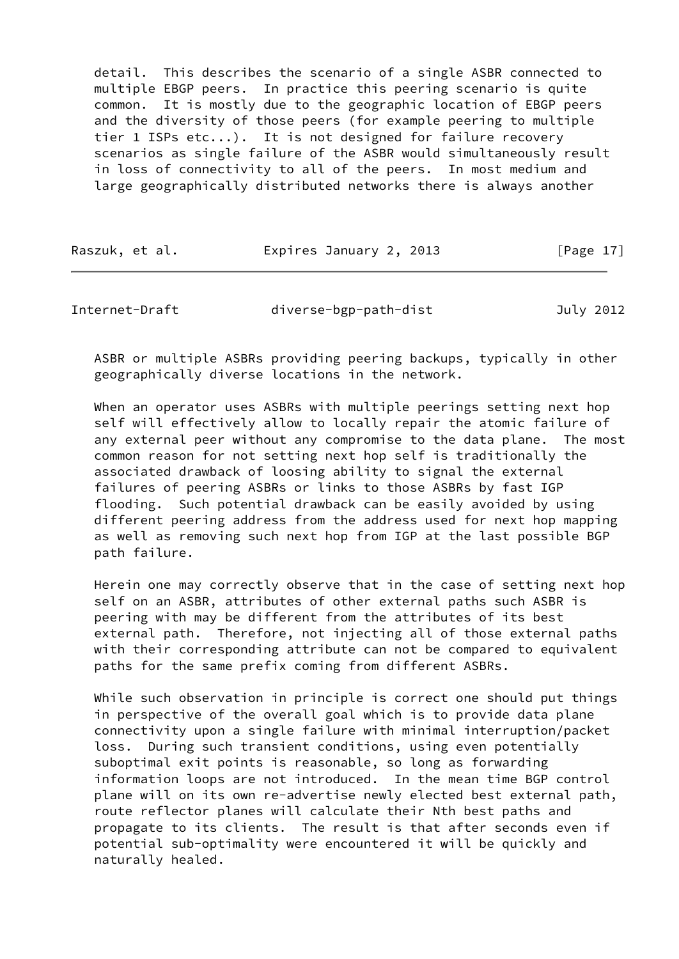detail. This describes the scenario of a single ASBR connected to multiple EBGP peers. In practice this peering scenario is quite common. It is mostly due to the geographic location of EBGP peers and the diversity of those peers (for example peering to multiple tier 1 ISPs etc...). It is not designed for failure recovery scenarios as single failure of the ASBR would simultaneously result in loss of connectivity to all of the peers. In most medium and large geographically distributed networks there is always another

| Raszuk, et al. | Expires January 2, 2013 | [Page 17] |
|----------------|-------------------------|-----------|
|----------------|-------------------------|-----------|

<span id="page-19-0"></span>Internet-Draft diverse-bgp-path-dist July 2012

 ASBR or multiple ASBRs providing peering backups, typically in other geographically diverse locations in the network.

 When an operator uses ASBRs with multiple peerings setting next hop self will effectively allow to locally repair the atomic failure of any external peer without any compromise to the data plane. The most common reason for not setting next hop self is traditionally the associated drawback of loosing ability to signal the external failures of peering ASBRs or links to those ASBRs by fast IGP flooding. Such potential drawback can be easily avoided by using different peering address from the address used for next hop mapping as well as removing such next hop from IGP at the last possible BGP path failure.

 Herein one may correctly observe that in the case of setting next hop self on an ASBR, attributes of other external paths such ASBR is peering with may be different from the attributes of its best external path. Therefore, not injecting all of those external paths with their corresponding attribute can not be compared to equivalent paths for the same prefix coming from different ASBRs.

 While such observation in principle is correct one should put things in perspective of the overall goal which is to provide data plane connectivity upon a single failure with minimal interruption/packet loss. During such transient conditions, using even potentially suboptimal exit points is reasonable, so long as forwarding information loops are not introduced. In the mean time BGP control plane will on its own re-advertise newly elected best external path, route reflector planes will calculate their Nth best paths and propagate to its clients. The result is that after seconds even if potential sub-optimality were encountered it will be quickly and naturally healed.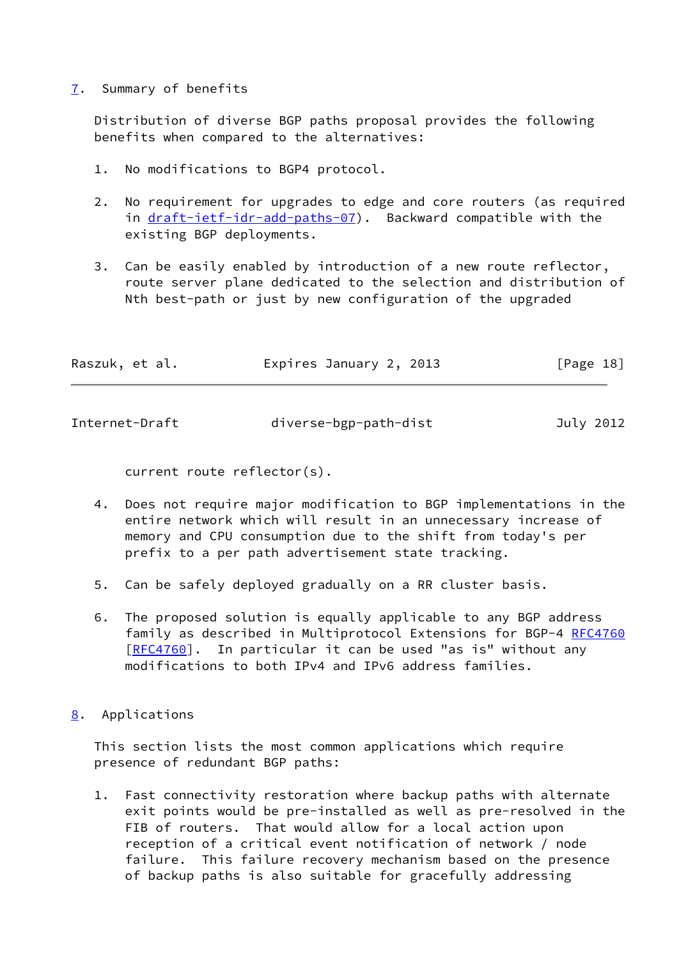## <span id="page-20-0"></span>[7](#page-20-0). Summary of benefits

 Distribution of diverse BGP paths proposal provides the following benefits when compared to the alternatives:

- 1. No modifications to BGP4 protocol.
- 2. No requirement for upgrades to edge and core routers (as required in [draft-ietf-idr-add-paths-07](https://datatracker.ietf.org/doc/pdf/draft-ietf-idr-add-paths-07)). Backward compatible with the existing BGP deployments.
- 3. Can be easily enabled by introduction of a new route reflector, route server plane dedicated to the selection and distribution of Nth best-path or just by new configuration of the upgraded

| Raszuk, et al. | Expires January 2, 2013 | [Page 18] |
|----------------|-------------------------|-----------|
|                |                         |           |

<span id="page-20-2"></span>Internet-Draft diverse-bgp-path-dist July 2012

current route reflector(s).

- 4. Does not require major modification to BGP implementations in the entire network which will result in an unnecessary increase of memory and CPU consumption due to the shift from today's per prefix to a per path advertisement state tracking.
- 5. Can be safely deployed gradually on a RR cluster basis.
- 6. The proposed solution is equally applicable to any BGP address family as described in Multiprotocol Extensions for BGP-4 [RFC4760](https://datatracker.ietf.org/doc/pdf/rfc4760) [\[RFC4760](https://datatracker.ietf.org/doc/pdf/rfc4760)]. In particular it can be used "as is" without anv modifications to both IPv4 and IPv6 address families.
- <span id="page-20-1"></span>[8](#page-20-1). Applications

 This section lists the most common applications which require presence of redundant BGP paths:

 1. Fast connectivity restoration where backup paths with alternate exit points would be pre-installed as well as pre-resolved in the FIB of routers. That would allow for a local action upon reception of a critical event notification of network / node failure. This failure recovery mechanism based on the presence of backup paths is also suitable for gracefully addressing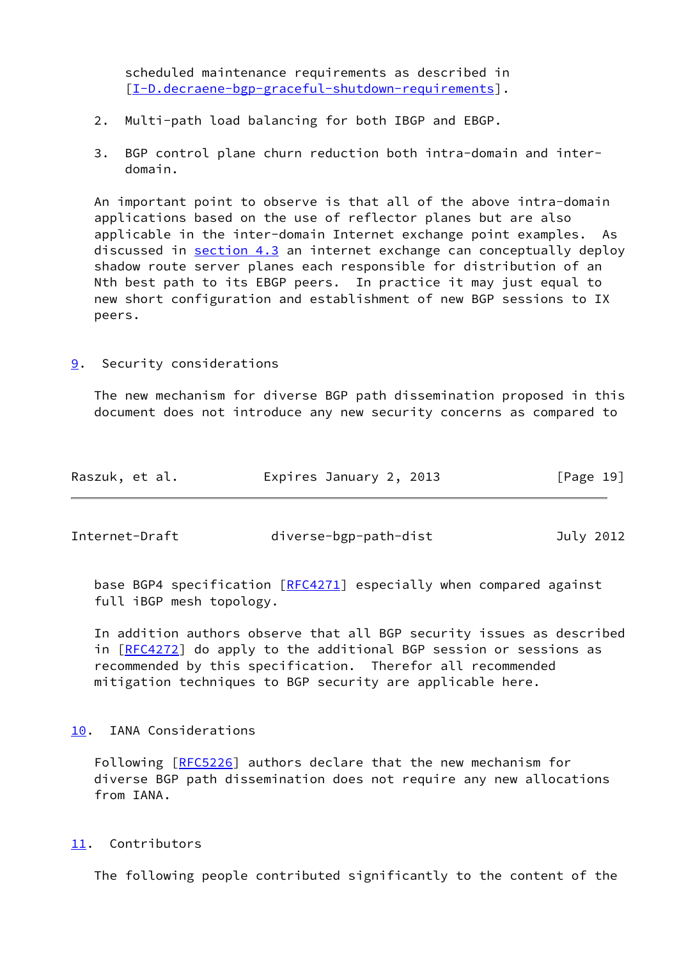scheduled maintenance requirements as described in [\[I-D.decraene-bgp-graceful-shutdown-requirements](#page-23-7)].

- 2. Multi-path load balancing for both IBGP and EBGP.
- 3. BGP control plane churn reduction both intra-domain and inter domain.

 An important point to observe is that all of the above intra-domain applications based on the use of reflector planes but are also applicable in the inter-domain Internet exchange point examples. As discussed in [section 4.3](#page-14-0) an internet exchange can conceptually deploy shadow route server planes each responsible for distribution of an Nth best path to its EBGP peers. In practice it may just equal to new short configuration and establishment of new BGP sessions to IX peers.

<span id="page-21-0"></span>[9](#page-21-0). Security considerations

 The new mechanism for diverse BGP path dissemination proposed in this document does not introduce any new security concerns as compared to

| Raszuk, et al. | Expires January 2, 2013 | [Page 19] |
|----------------|-------------------------|-----------|
|                |                         |           |

<span id="page-21-2"></span>Internet-Draft diverse-bgp-path-dist July 2012

 base BGP4 specification [\[RFC4271](https://datatracker.ietf.org/doc/pdf/rfc4271)] especially when compared against full iBGP mesh topology.

 In addition authors observe that all BGP security issues as described in [[RFC4272\]](https://datatracker.ietf.org/doc/pdf/rfc4272) do apply to the additional BGP session or sessions as recommended by this specification. Therefor all recommended mitigation techniques to BGP security are applicable here.

# <span id="page-21-1"></span>[10.](#page-21-1) IANA Considerations

 Following [[RFC5226](https://datatracker.ietf.org/doc/pdf/rfc5226)] authors declare that the new mechanism for diverse BGP path dissemination does not require any new allocations from IANA.

<span id="page-21-3"></span>[11.](#page-21-3) Contributors

The following people contributed significantly to the content of the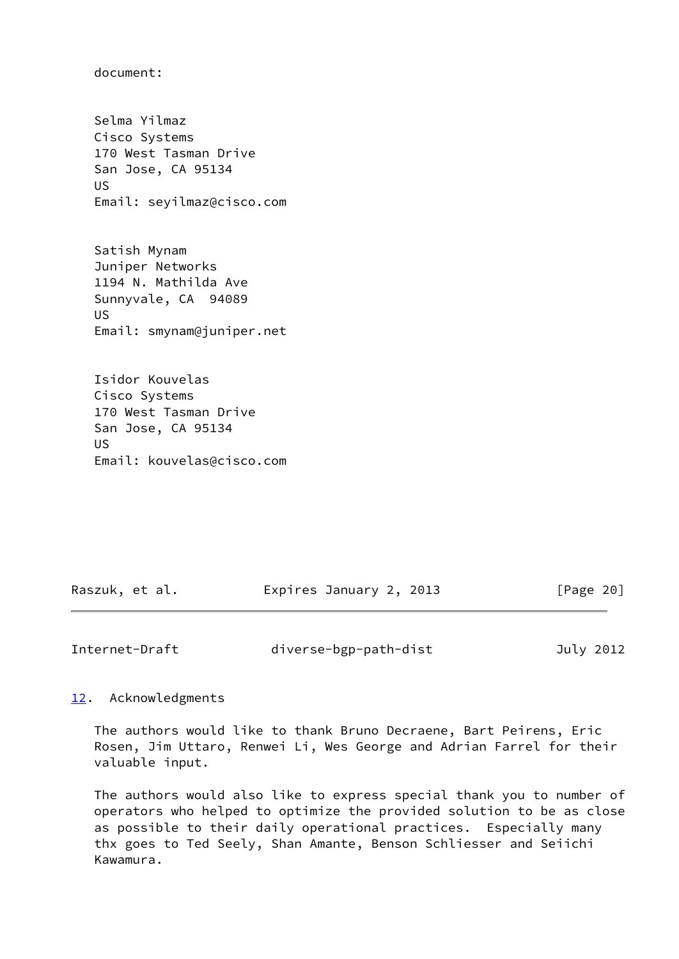document:

 Selma Yilmaz Cisco Systems 170 West Tasman Drive San Jose, CA 95134 US Email: seyilmaz@cisco.com

 Satish Mynam Juniper Networks 1194 N. Mathilda Ave Sunnyvale, CA 94089 US Email: smynam@juniper.net

 Isidor Kouvelas Cisco Systems 170 West Tasman Drive San Jose, CA 95134 US Email: kouvelas@cisco.com

| Raszuk, et al. | Expires January 2, 2013 | [Page 20] |
|----------------|-------------------------|-----------|
|----------------|-------------------------|-----------|

<span id="page-22-1"></span>Internet-Draft diverse-bgp-path-dist July 2012

## <span id="page-22-0"></span>[12.](#page-22-0) Acknowledgments

 The authors would like to thank Bruno Decraene, Bart Peirens, Eric Rosen, Jim Uttaro, Renwei Li, Wes George and Adrian Farrel for their valuable input.

 The authors would also like to express special thank you to number of operators who helped to optimize the provided solution to be as close as possible to their daily operational practices. Especially many thx goes to Ted Seely, Shan Amante, Benson Schliesser and Seiichi Kawamura.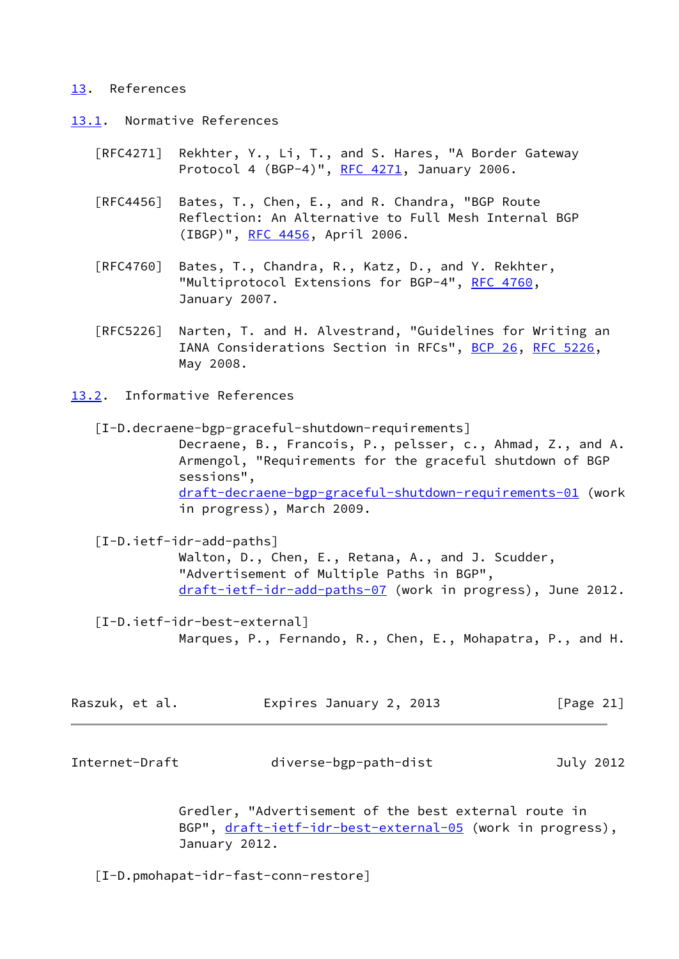#### <span id="page-23-0"></span>[13.](#page-23-0) References

- <span id="page-23-1"></span>[13.1](#page-23-1). Normative References
	- [RFC4271] Rekhter, Y., Li, T., and S. Hares, "A Border Gateway Protocol 4 (BGP-4)", [RFC 4271](https://datatracker.ietf.org/doc/pdf/rfc4271), January 2006.
	- [RFC4456] Bates, T., Chen, E., and R. Chandra, "BGP Route Reflection: An Alternative to Full Mesh Internal BGP (IBGP)", [RFC 4456,](https://datatracker.ietf.org/doc/pdf/rfc4456) April 2006.
	- [RFC4760] Bates, T., Chandra, R., Katz, D., and Y. Rekhter, "Multiprotocol Extensions for BGP-4", [RFC 4760](https://datatracker.ietf.org/doc/pdf/rfc4760), January 2007.
	- [RFC5226] Narten, T. and H. Alvestrand, "Guidelines for Writing an IANA Considerations Section in RFCs", [BCP 26](https://datatracker.ietf.org/doc/pdf/bcp26), [RFC 5226](https://datatracker.ietf.org/doc/pdf/rfc5226), May 2008.
- <span id="page-23-2"></span>[13.2](#page-23-2). Informative References

<span id="page-23-7"></span> [I-D.decraene-bgp-graceful-shutdown-requirements] Decraene, B., Francois, P., pelsser, c., Ahmad, Z., and A. Armengol, "Requirements for the graceful shutdown of BGP sessions", [draft-decraene-bgp-graceful-shutdown-requirements-01](https://datatracker.ietf.org/doc/pdf/draft-decraene-bgp-graceful-shutdown-requirements-01) (work in progress), March 2009.

<span id="page-23-4"></span> [I-D.ietf-idr-add-paths] Walton, D., Chen, E., Retana, A., and J. Scudder, "Advertisement of Multiple Paths in BGP", [draft-ietf-idr-add-paths-07](https://datatracker.ietf.org/doc/pdf/draft-ietf-idr-add-paths-07) (work in progress), June 2012.

<span id="page-23-6"></span> [I-D.ietf-idr-best-external] Marques, P., Fernando, R., Chen, E., Mohapatra, P., and H.

| Raszuk, et al. | Expires January 2, 2013 | [Page 21] |
|----------------|-------------------------|-----------|
|----------------|-------------------------|-----------|

<span id="page-23-3"></span>Internet-Draft diverse-bgp-path-dist July 2012

 Gredler, "Advertisement of the best external route in BGP", [draft-ietf-idr-best-external-05](https://datatracker.ietf.org/doc/pdf/draft-ietf-idr-best-external-05) (work in progress), January 2012.

<span id="page-23-5"></span>[I-D.pmohapat-idr-fast-conn-restore]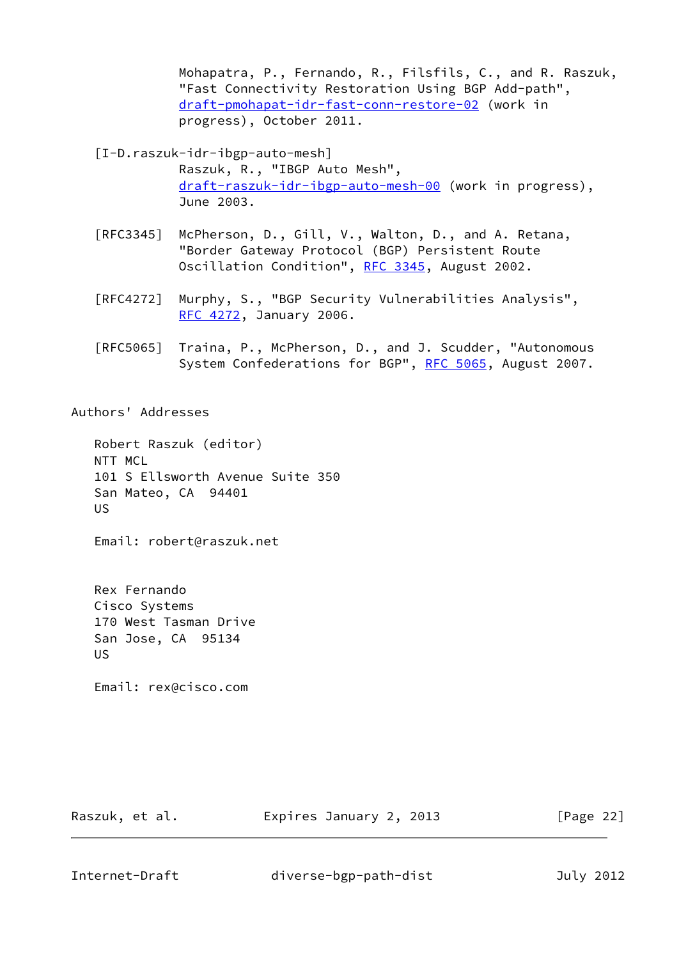Mohapatra, P., Fernando, R., Filsfils, C., and R. Raszuk, "Fast Connectivity Restoration Using BGP Add-path", [draft-pmohapat-idr-fast-conn-restore-02](https://datatracker.ietf.org/doc/pdf/draft-pmohapat-idr-fast-conn-restore-02) (work in progress), October 2011.

<span id="page-24-0"></span>[I-D.raszuk-idr-ibgp-auto-mesh]

 Raszuk, R., "IBGP Auto Mesh", [draft-raszuk-idr-ibgp-auto-mesh-00](https://datatracker.ietf.org/doc/pdf/draft-raszuk-idr-ibgp-auto-mesh-00) (work in progress), June 2003.

- [RFC3345] McPherson, D., Gill, V., Walton, D., and A. Retana, "Border Gateway Protocol (BGP) Persistent Route Oscillation Condition", [RFC 3345,](https://datatracker.ietf.org/doc/pdf/rfc3345) August 2002.
- [RFC4272] Murphy, S., "BGP Security Vulnerabilities Analysis", [RFC 4272,](https://datatracker.ietf.org/doc/pdf/rfc4272) January 2006.
- [RFC5065] Traina, P., McPherson, D., and J. Scudder, "Autonomous System Confederations for BGP", [RFC 5065,](https://datatracker.ietf.org/doc/pdf/rfc5065) August 2007.

Authors' Addresses

 Robert Raszuk (editor) NTT MCL 101 S Ellsworth Avenue Suite 350 San Mateo, CA 94401 US

Email: robert@raszuk.net

 Rex Fernando Cisco Systems 170 West Tasman Drive San Jose, CA 95134 US

Email: rex@cisco.com

Raszuk, et al. Expires January 2, 2013 [Page 22]